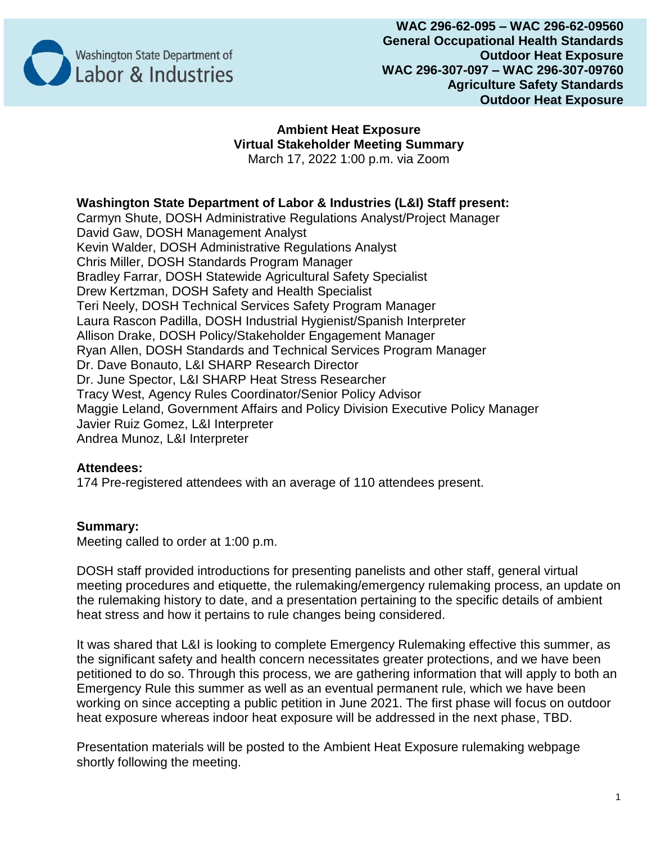

# **Ambient Heat Exposure Virtual Stakeholder Meeting Summary**

March 17, 2022 1:00 p.m. via Zoom

# **Washington State Department of Labor & Industries (L&I) Staff present:**

Carmyn Shute, DOSH Administrative Regulations Analyst/Project Manager David Gaw, DOSH Management Analyst Kevin Walder, DOSH Administrative Regulations Analyst Chris Miller, DOSH Standards Program Manager Bradley Farrar, DOSH Statewide Agricultural Safety Specialist Drew Kertzman, DOSH Safety and Health Specialist Teri Neely, DOSH Technical Services Safety Program Manager Laura Rascon Padilla, DOSH Industrial Hygienist/Spanish Interpreter Allison Drake, DOSH Policy/Stakeholder Engagement Manager Ryan Allen, DOSH Standards and Technical Services Program Manager Dr. Dave Bonauto, L&I SHARP Research Director Dr. June Spector, L&I SHARP Heat Stress Researcher Tracy West, Agency Rules Coordinator/Senior Policy Advisor Maggie Leland, Government Affairs and Policy Division Executive Policy Manager Javier Ruiz Gomez, L&I Interpreter Andrea Munoz, L&I Interpreter

# **Attendees:**

174 Pre-registered attendees with an average of 110 attendees present.

# **Summary:**

Meeting called to order at 1:00 p.m.

DOSH staff provided introductions for presenting panelists and other staff, general virtual meeting procedures and etiquette, the rulemaking/emergency rulemaking process, an update on the rulemaking history to date, and a presentation pertaining to the specific details of ambient heat stress and how it pertains to rule changes being considered.

It was shared that L&I is looking to complete Emergency Rulemaking effective this summer, as the significant safety and health concern necessitates greater protections, and we have been petitioned to do so. Through this process, we are gathering information that will apply to both an Emergency Rule this summer as well as an eventual permanent rule, which we have been working on since accepting a public petition in June 2021. The first phase will focus on outdoor heat exposure whereas indoor heat exposure will be addressed in the next phase, TBD.

Presentation materials will be posted to the Ambient Heat Exposure rulemaking webpage shortly following the meeting.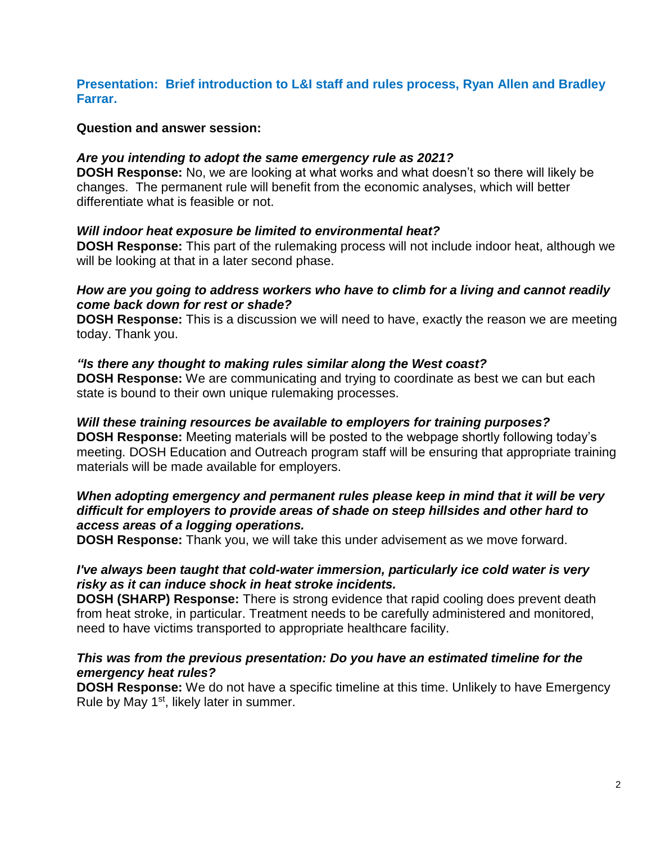# **Presentation: Brief introduction to L&I staff and rules process, Ryan Allen and Bradley Farrar.**

#### **Question and answer session:**

#### *Are you intending to adopt the same emergency rule as 2021?*

**DOSH Response:** No, we are looking at what works and what doesn't so there will likely be changes. The permanent rule will benefit from the economic analyses, which will better differentiate what is feasible or not.

#### *Will indoor heat exposure be limited to environmental heat?*

**DOSH Response:** This part of the rulemaking process will not include indoor heat, although we will be looking at that in a later second phase.

#### *How are you going to address workers who have to climb for a living and cannot readily come back down for rest or shade?*

**DOSH Response:** This is a discussion we will need to have, exactly the reason we are meeting today. Thank you.

#### *"Is there any thought to making rules similar along the West coast?*

**DOSH Response:** We are communicating and trying to coordinate as best we can but each state is bound to their own unique rulemaking processes.

#### *Will these training resources be available to employers for training purposes?*

**DOSH Response:** Meeting materials will be posted to the webpage shortly following today's meeting. DOSH Education and Outreach program staff will be ensuring that appropriate training materials will be made available for employers.

# *When adopting emergency and permanent rules please keep in mind that it will be very difficult for employers to provide areas of shade on steep hillsides and other hard to access areas of a logging operations.*

**DOSH Response:** Thank you, we will take this under advisement as we move forward.

# *I've always been taught that cold-water immersion, particularly ice cold water is very risky as it can induce shock in heat stroke incidents.*

**DOSH (SHARP) Response:** There is strong evidence that rapid cooling does prevent death from heat stroke, in particular. Treatment needs to be carefully administered and monitored, need to have victims transported to appropriate healthcare facility.

#### *This was from the previous presentation: Do you have an estimated timeline for the emergency heat rules?*

**DOSH Response:** We do not have a specific timeline at this time. Unlikely to have Emergency Rule by May 1<sup>st</sup>, likely later in summer.